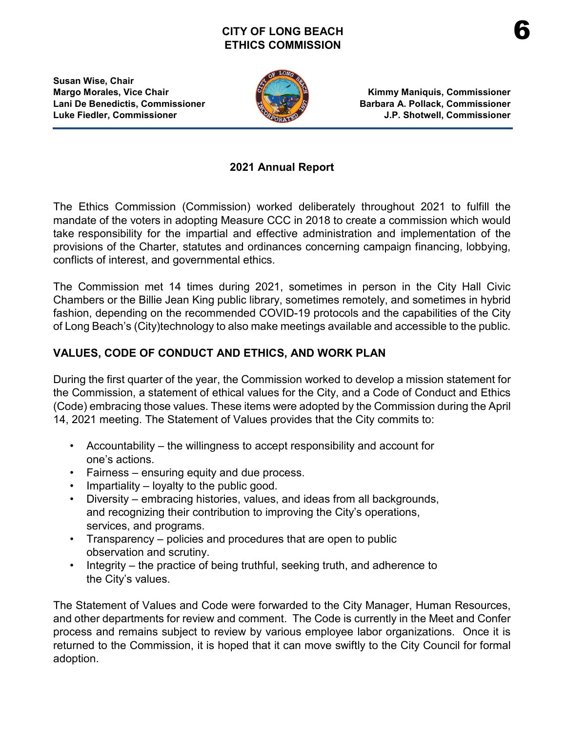## **CITY OF LONG BEACH ETHICS COMMISSION**



**Margo Morales, Vice Chair Kimmy Maniquis, Commissioner Lani De Benedictis, Commissioner Barbara A. Pollack, Commissioner Luke Fiedler, Commissioner J.P. Shotwell, Commissioner**

## **2021 Annual Report**

The Ethics Commission (Commission) worked deliberately throughout 2021 to fulfill the mandate of the voters in adopting Measure CCC in 2018 to create a commission which would take responsibility for the impartial and effective administration and implementation of the provisions of the Charter, statutes and ordinances concerning campaign financing, lobbying, conflicts of interest, and governmental ethics.

The Commission met 14 times during 2021, sometimes in person in the City Hall Civic Chambers or the Billie Jean King public library, sometimes remotely, and sometimes in hybrid fashion, depending on the recommended COVID-19 protocols and the capabilities of the City of Long Beach's (City)technology to also make meetings available and accessible to the public.

# **VALUES, CODE OF CONDUCT AND ETHICS, AND WORK PLAN**

During the first quarter of the year, the Commission worked to develop a mission statement for the Commission, a statement of ethical values for the City, and a Code of Conduct and Ethics (Code) embracing those values. These items were adopted by the Commission during the April 14, 2021 meeting. The Statement of Values provides that the City commits to:

- Accountability the willingness to accept responsibility and account for one's actions.
- Fairness ensuring equity and due process.
- Impartiality loyalty to the public good.
- Diversity embracing histories, values, and ideas from all backgrounds, and recognizing their contribution to improving the City's operations, services, and programs.
- Transparency policies and procedures that are open to public observation and scrutiny.
- Integrity the practice of being truthful, seeking truth, and adherence to the City's values.

The Statement of Values and Code were forwarded to the City Manager, Human Resources, and other departments for review and comment. The Code is currently in the Meet and Confer process and remains subject to review by various employee labor organizations. Once it is returned to the Commission, it is hoped that it can move swiftly to the City Council for formal adoption.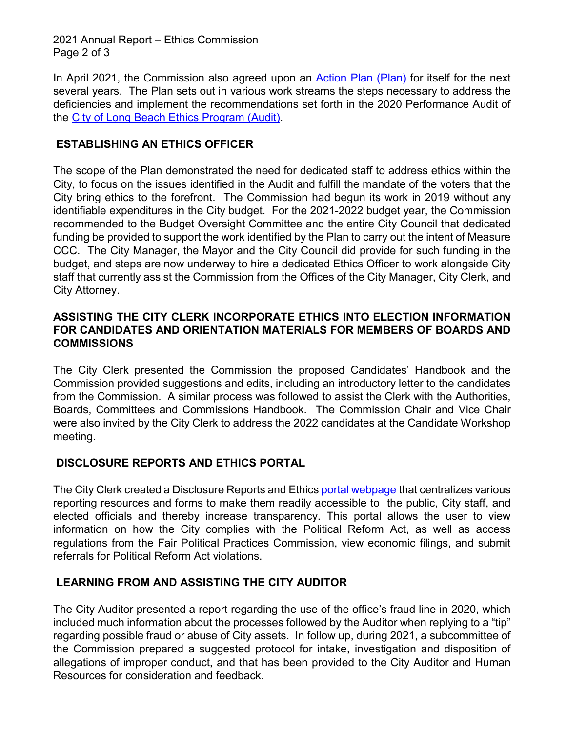2021 Annual Report – Ethics Commission Page 2 of 3

In April 2021, the Commission also agreed upon an [Action Plan \(Plan\)](https://www.longbeach.gov/globalassets/city-clerk/media-library/documents/ethics-commission/resources/action-plan-draft-032421-final) for itself for the next several years. The Plan sets out in various work streams the steps necessary to address the deficiencies and implement the recommendations set forth in the 2020 Performance Audit of the [City of Long Beach Ethics Program \(Audit\).](https://www.longbeach.gov/globalassets/city-clerk/media-library/documents/ethics-commission/resources/city-employee-ethics-survey-and-ethics-program-performance-audit)

## **ESTABLISHING AN ETHICS OFFICER**

The scope of the Plan demonstrated the need for dedicated staff to address ethics within the City, to focus on the issues identified in the Audit and fulfill the mandate of the voters that the City bring ethics to the forefront. The Commission had begun its work in 2019 without any identifiable expenditures in the City budget. For the 2021-2022 budget year, the Commission recommended to the Budget Oversight Committee and the entire City Council that dedicated funding be provided to support the work identified by the Plan to carry out the intent of Measure CCC. The City Manager, the Mayor and the City Council did provide for such funding in the budget, and steps are now underway to hire a dedicated Ethics Officer to work alongside City staff that currently assist the Commission from the Offices of the City Manager, City Clerk, and City Attorney.

#### **ASSISTING THE CITY CLERK INCORPORATE ETHICS INTO ELECTION INFORMATION FOR CANDIDATES AND ORIENTATION MATERIALS FOR MEMBERS OF BOARDS AND COMMISSIONS**

The City Clerk presented the Commission the proposed Candidates' Handbook and the Commission provided suggestions and edits, including an introductory letter to the candidates from the Commission. A similar process was followed to assist the Clerk with the Authorities, Boards, Committees and Commissions Handbook. The Commission Chair and Vice Chair were also invited by the City Clerk to address the 2022 candidates at the Candidate Workshop meeting.

## **DISCLOSURE REPORTS AND ETHICS PORTAL**

The City Clerk created a Disclosure Reports and Ethic[s portal webpage](https://www.longbeach.gov/cityclerk/services/disclosure-reports--ethics-portal/) that centralizes various reporting resources and forms to make them readily accessible to the public, City staff, and elected officials and thereby increase transparency. This portal allows the user to view information on how the City complies with the Political Reform Act, as well as access regulations from the Fair Political Practices Commission, view economic filings, and submit referrals for Political Reform Act violations.

## **LEARNING FROM AND ASSISTING THE CITY AUDITOR**

The City Auditor presented a report regarding the use of the office's fraud line in 2020, which included much information about the processes followed by the Auditor when replying to a "tip" regarding possible fraud or abuse of City assets. In follow up, during 2021, a subcommittee of the Commission prepared a suggested protocol for intake, investigation and disposition of allegations of improper conduct, and that has been provided to the City Auditor and Human Resources for consideration and feedback.